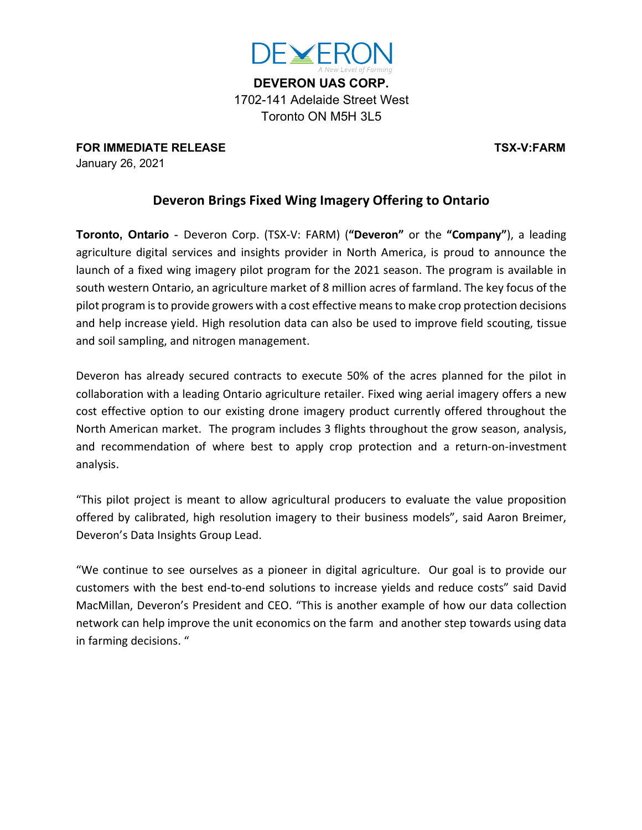

**DEVERON UAS CORP.** 1702-141 Adelaide Street West Toronto ON M5H 3L5

**FOR IMMEDIATE RELEASE TSX-V:FARM** January 26, 2021

## **Deveron Brings Fixed Wing Imagery Offering to Ontario**

**Toronto, Ontario** - Deveron Corp. (TSX-V: FARM) (**"Deveron"** or the **"Company"**), a leading agriculture digital services and insights provider in North America, is proud to announce the launch of a fixed wing imagery pilot program for the 2021 season. The program is available in south western Ontario, an agriculture market of 8 million acres of farmland. The key focus of the pilot program isto provide growers with a cost effective meansto make crop protection decisions and help increase yield. High resolution data can also be used to improve field scouting, tissue and soil sampling, and nitrogen management.

Deveron has already secured contracts to execute 50% of the acres planned for the pilot in collaboration with a leading Ontario agriculture retailer. Fixed wing aerial imagery offers a new cost effective option to our existing drone imagery product currently offered throughout the North American market. The program includes 3 flights throughout the grow season, analysis, and recommendation of where best to apply crop protection and a return-on-investment analysis.

"This pilot project is meant to allow agricultural producers to evaluate the value proposition offered by calibrated, high resolution imagery to their business models", said Aaron Breimer, Deveron's Data Insights Group Lead.

"We continue to see ourselves as a pioneer in digital agriculture. Our goal is to provide our customers with the best end-to-end solutions to increase yields and reduce costs" said David MacMillan, Deveron's President and CEO. "This is another example of how our data collection network can help improve the unit economics on the farm and another step towards using data in farming decisions. "